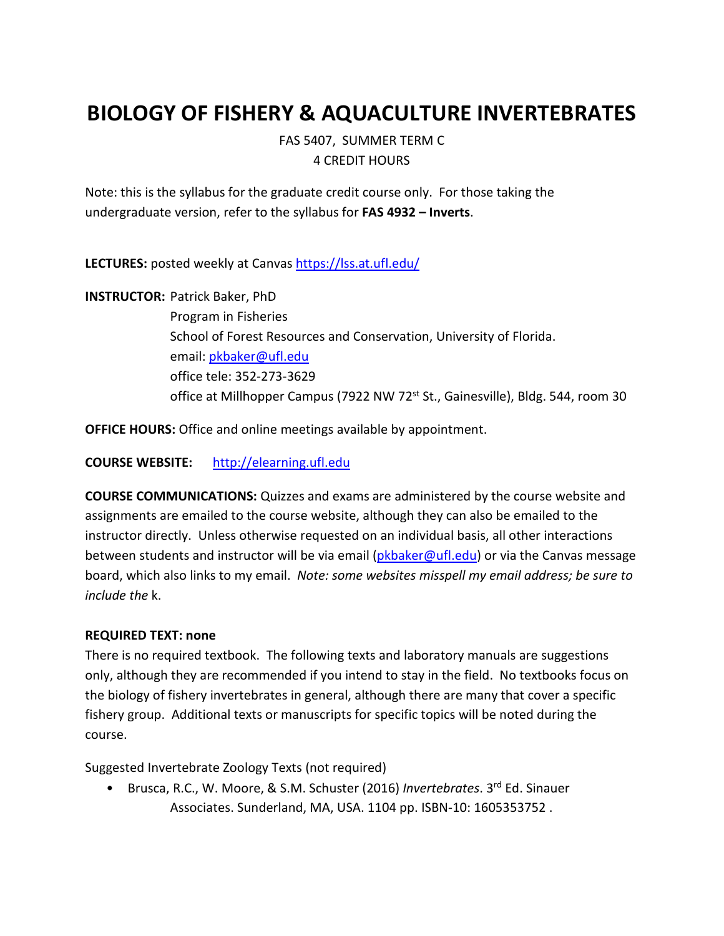# **BIOLOGY OF FISHERY & AQUACULTURE INVERTEBRATES**

FAS 5407, SUMMER TERM C 4 CREDIT HOURS

Note: this is the syllabus for the graduate credit course only. For those taking the undergraduate version, refer to the syllabus for **FAS 4932 – Inverts**.

**LECTURES:** posted weekly at Canvas<https://lss.at.ufl.edu/>

**INSTRUCTOR:** Patrick Baker, PhD Program in Fisheries School of Forest Resources and Conservation, University of Florida. email[: pkbaker@ufl.edu](mailto:pkbaker@ufl.edu) office tele: 352-273-3629 office at Millhopper Campus (7922 NW 72<sup>st</sup> St., Gainesville), Bldg. 544, room 30

**OFFICE HOURS:** Office and online meetings available by appointment.

**COURSE WEBSITE:** [http://elearning.ufl.edu](http://elearning.ufl.edu/)

**COURSE COMMUNICATIONS:** Quizzes and exams are administered by the course website and assignments are emailed to the course website, although they can also be emailed to the instructor directly. Unless otherwise requested on an individual basis, all other interactions between students and instructor will be via email [\(pkbaker@ufl.edu\)](mailto:pkbaker@ufl.edu) or via the Canvas message board, which also links to my email. *Note: some websites misspell my email address; be sure to include the* k.

#### **REQUIRED TEXT: none**

There is no required textbook. The following texts and laboratory manuals are suggestions only, although they are recommended if you intend to stay in the field. No textbooks focus on the biology of fishery invertebrates in general, although there are many that cover a specific fishery group. Additional texts or manuscripts for specific topics will be noted during the course.

Suggested Invertebrate Zoology Texts (not required)

• Brusca, R.C., W. Moore, & S.M. Schuster (2016) *Invertebrates*. 3rd Ed. Sinauer Associates. Sunderland, MA, USA. 1104 pp. ISBN-10: 1605353752 .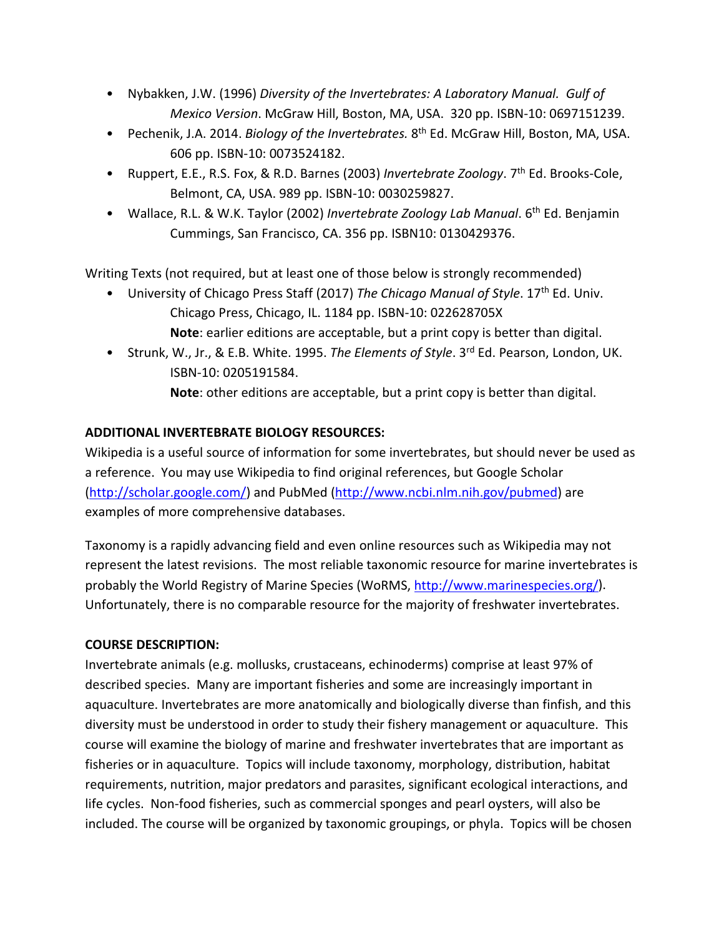- Nybakken, J.W. (1996) *Diversity of the Invertebrates: A Laboratory Manual. Gulf of Mexico Version*. McGraw Hill, Boston, MA, USA. 320 pp. ISBN-10: 0697151239.
- Pechenik, J.A. 2014. *Biology of the Invertebrates.* 8th Ed. McGraw Hill, Boston, MA, USA. 606 pp. ISBN-10: 0073524182.
- Ruppert, E.E., R.S. Fox, & R.D. Barnes (2003) *Invertebrate Zoology*. 7th Ed. Brooks-Cole, Belmont, CA, USA. 989 pp. ISBN-10: 0030259827.
- Wallace, R.L. & W.K. Taylor (2002) *Invertebrate Zoology Lab Manual*. 6<sup>th</sup> Ed. Benjamin Cummings, San Francisco, CA. 356 pp. ISBN10: 0130429376.

Writing Texts (not required, but at least one of those below is strongly recommended)

- University of Chicago Press Staff (2017) *The Chicago Manual of Style*. 17th Ed. Univ. Chicago Press, Chicago, IL. 1184 pp. ISBN-10: 022628705X **Note**: earlier editions are acceptable, but a print copy is better than digital.
- Strunk, W., Jr., & E.B. White. 1995. *The Elements of Style*. 3rd Ed. Pearson, London, UK. ISBN-10: 0205191584.
	- **Note**: other editions are acceptable, but a print copy is better than digital.

# **ADDITIONAL INVERTEBRATE BIOLOGY RESOURCES:**

Wikipedia is a useful source of information for some invertebrates, but should never be used as a reference. You may use Wikipedia to find original references, but Google Scholar [\(http://scholar.google.com/\)](http://scholar.google.com/) and PubMed [\(http://www.ncbi.nlm.nih.gov/pubmed\)](http://www.ncbi.nlm.nih.gov/pubmed) are examples of more comprehensive databases.

Taxonomy is a rapidly advancing field and even online resources such as Wikipedia may not represent the latest revisions. The most reliable taxonomic resource for marine invertebrates is probably the World Registry of Marine Species (WoRMS, [http://www.marinespecies.org/\)](http://www.marinespecies.org/). Unfortunately, there is no comparable resource for the majority of freshwater invertebrates.

## **COURSE DESCRIPTION:**

Invertebrate animals (e.g. mollusks, crustaceans, echinoderms) comprise at least 97% of described species. Many are important fisheries and some are increasingly important in aquaculture. Invertebrates are more anatomically and biologically diverse than finfish, and this diversity must be understood in order to study their fishery management or aquaculture. This course will examine the biology of marine and freshwater invertebrates that are important as fisheries or in aquaculture. Topics will include taxonomy, morphology, distribution, habitat requirements, nutrition, major predators and parasites, significant ecological interactions, and life cycles. Non-food fisheries, such as commercial sponges and pearl oysters, will also be included. The course will be organized by taxonomic groupings, or phyla. Topics will be chosen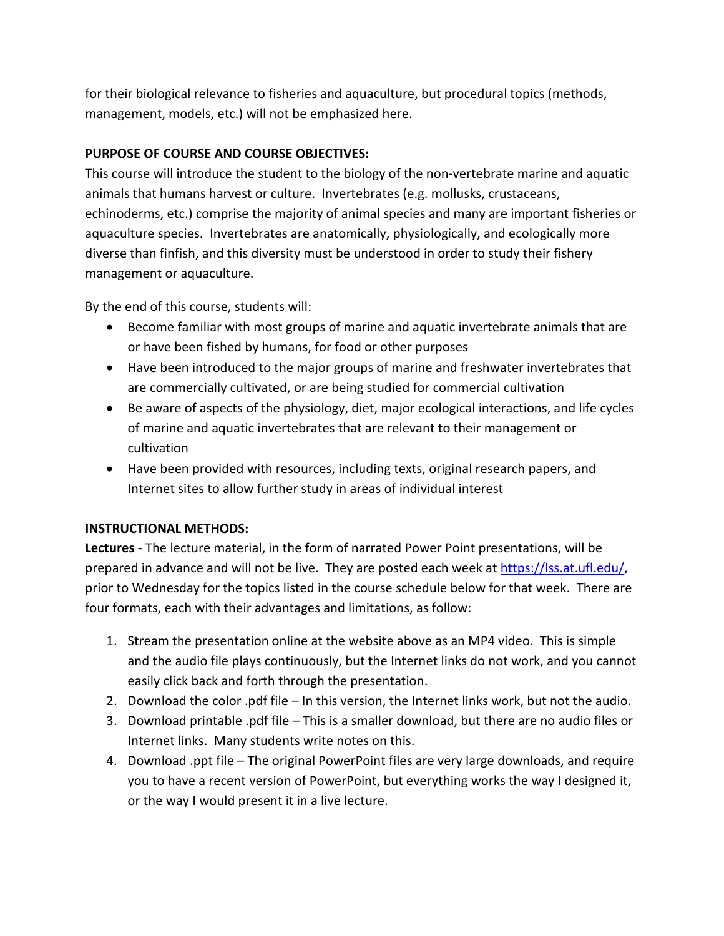for their biological relevance to fisheries and aquaculture, but procedural topics (methods, management, models, etc.) will not be emphasized here.

## **PURPOSE OF COURSE AND COURSE OBJECTIVES:**

This course will introduce the student to the biology of the non-vertebrate marine and aquatic animals that humans harvest or culture. Invertebrates (e.g. mollusks, crustaceans, echinoderms, etc.) comprise the majority of animal species and many are important fisheries or aquaculture species. Invertebrates are anatomically, physiologically, and ecologically more diverse than finfish, and this diversity must be understood in order to study their fishery management or aquaculture.

By the end of this course, students will:

- Become familiar with most groups of marine and aquatic invertebrate animals that are or have been fished by humans, for food or other purposes
- Have been introduced to the major groups of marine and freshwater invertebrates that are commercially cultivated, or are being studied for commercial cultivation
- Be aware of aspects of the physiology, diet, major ecological interactions, and life cycles of marine and aquatic invertebrates that are relevant to their management or cultivation
- Have been provided with resources, including texts, original research papers, and Internet sites to allow further study in areas of individual interest

## **INSTRUCTIONAL METHODS:**

**Lectures** - The lecture material, in the form of narrated Power Point presentations, will be prepared in advance and will not be live. They are posted each week at [https://lss.at.ufl.edu/,](https://lss.at.ufl.edu/) prior to Wednesday for the topics listed in the course schedule below for that week. There are four formats, each with their advantages and limitations, as follow:

- 1. Stream the presentation online at the website above as an MP4 video. This is simple and the audio file plays continuously, but the Internet links do not work, and you cannot easily click back and forth through the presentation.
- 2. Download the color .pdf file In this version, the Internet links work, but not the audio.
- 3. Download printable .pdf file This is a smaller download, but there are no audio files or Internet links. Many students write notes on this.
- 4. Download .ppt file The original PowerPoint files are very large downloads, and require you to have a recent version of PowerPoint, but everything works the way I designed it, or the way I would present it in a live lecture.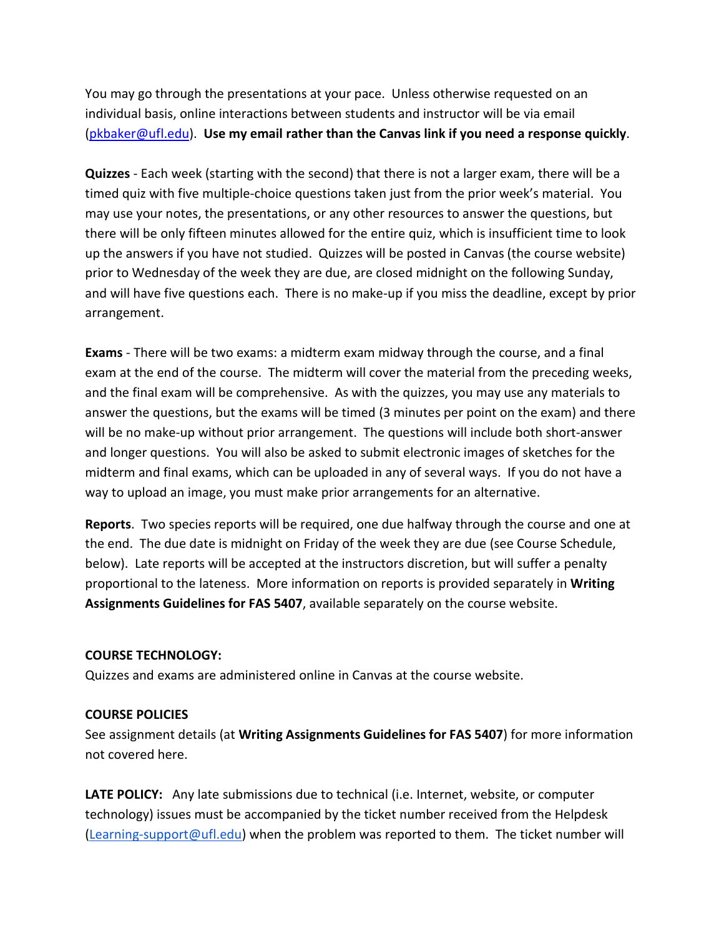You may go through the presentations at your pace. Unless otherwise requested on an individual basis, online interactions between students and instructor will be via email [\(pkbaker@ufl.edu\)](mailto:pkbaker@ufl.edu). **Use my email rather than the Canvas link if you need a response quickly**.

**Quizzes** - Each week (starting with the second) that there is not a larger exam, there will be a timed quiz with five multiple-choice questions taken just from the prior week's material. You may use your notes, the presentations, or any other resources to answer the questions, but there will be only fifteen minutes allowed for the entire quiz, which is insufficient time to look up the answers if you have not studied. Quizzes will be posted in Canvas (the course website) prior to Wednesday of the week they are due, are closed midnight on the following Sunday, and will have five questions each. There is no make-up if you miss the deadline, except by prior arrangement.

**Exams** - There will be two exams: a midterm exam midway through the course, and a final exam at the end of the course. The midterm will cover the material from the preceding weeks, and the final exam will be comprehensive. As with the quizzes, you may use any materials to answer the questions, but the exams will be timed (3 minutes per point on the exam) and there will be no make-up without prior arrangement. The questions will include both short-answer and longer questions. You will also be asked to submit electronic images of sketches for the midterm and final exams, which can be uploaded in any of several ways. If you do not have a way to upload an image, you must make prior arrangements for an alternative.

**Reports**. Two species reports will be required, one due halfway through the course and one at the end. The due date is midnight on Friday of the week they are due (see Course Schedule, below). Late reports will be accepted at the instructors discretion, but will suffer a penalty proportional to the lateness. More information on reports is provided separately in **Writing Assignments Guidelines for FAS 5407**, available separately on the course website.

#### **COURSE TECHNOLOGY:**

Quizzes and exams are administered online in Canvas at the course website.

#### **COURSE POLICIES**

See assignment details (at **Writing Assignments Guidelines for FAS 5407**) for more information not covered here.

**LATE POLICY:** Any late submissions due to technical (i.e. Internet, website, or computer technology) issues must be accompanied by the ticket number received from the Helpdesk [\(Learning-support@ufl.edu\)](mailto:Learning-support@ufl.edu) when the problem was reported to them. The ticket number will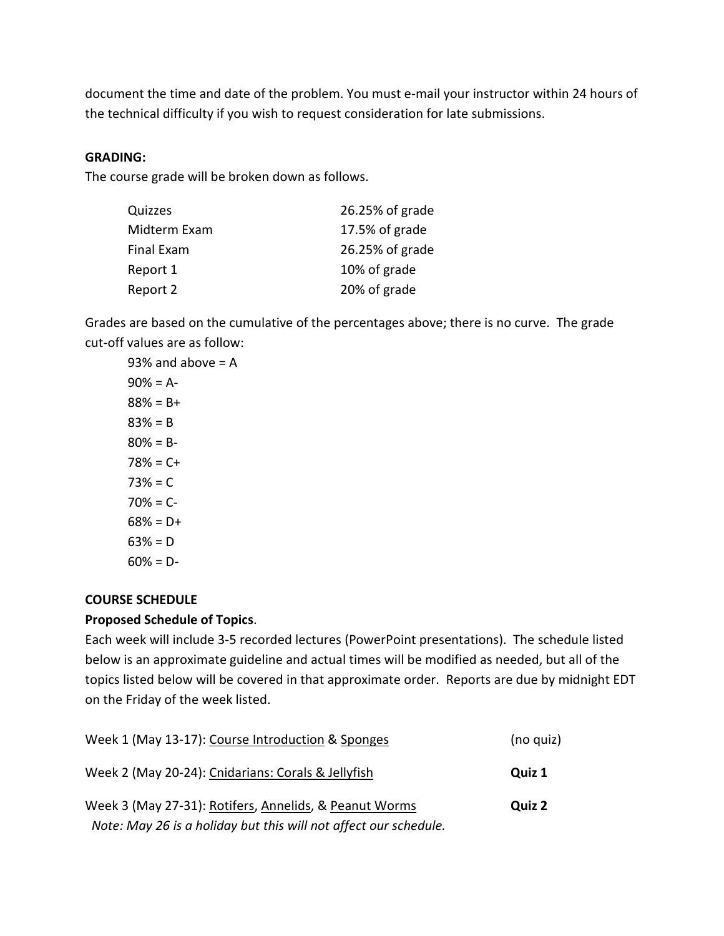document the time and date of the problem. You must e-mail your instructor within 24 hours of the technical difficulty if you wish to request consideration for late submissions.

#### **GRADING:**

The course grade will be broken down as follows.

| Quizzes      | 26.25% of grade |
|--------------|-----------------|
| Midterm Exam | 17.5% of grade  |
| Final Exam   | 26.25% of grade |
| Report 1     | 10% of grade    |
| Report 2     | 20% of grade    |
|              |                 |

Grades are based on the cumulative of the percentages above; there is no curve. The grade cut-off values are as follow:

93% and above  $= A$  $90% = A$ - $88% = B +$ 83% = B  $80% = B 78% = C +$  $73% = C$  $70% = C$ - $68\% = D +$  $63% = D$  $60\% = D -$ 

## **COURSE SCHEDULE**

#### **Proposed Schedule of Topics**.

Each week will include 3-5 recorded lectures (PowerPoint presentations). The schedule listed below is an approximate guideline and actual times will be modified as needed, but all of the topics listed below will be covered in that approximate order. Reports are due by midnight EDT on the Friday of the week listed.

| Week 1 (May 13-17): Course Introduction & Sponges                | (no quiz) |
|------------------------------------------------------------------|-----------|
| Week 2 (May 20-24): Cnidarians: Corals & Jellyfish               | Quiz 1    |
| Week 3 (May 27-31): Rotifers, Annelids, & Peanut Worms           | Quiz 2    |
| Note: May 26 is a holiday but this will not affect our schedule. |           |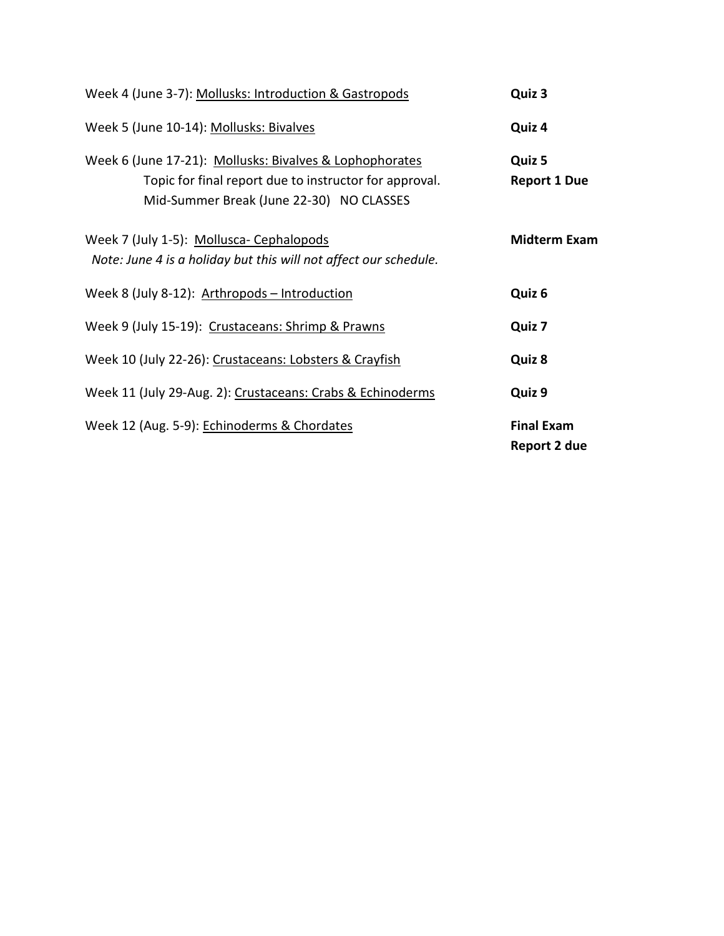| Week 4 (June 3-7): Mollusks: Introduction & Gastropods                                                                                                        | Quiz 3                            |
|---------------------------------------------------------------------------------------------------------------------------------------------------------------|-----------------------------------|
| Week 5 (June 10-14): Mollusks: Bivalves                                                                                                                       | Quiz 4                            |
| Week 6 (June 17-21): Mollusks: Bivalves & Lophophorates<br>Topic for final report due to instructor for approval.<br>Mid-Summer Break (June 22-30) NO CLASSES | Quiz 5<br><b>Report 1 Due</b>     |
| Week 7 (July 1-5): Mollusca- Cephalopods<br>Note: June 4 is a holiday but this will not affect our schedule.                                                  | <b>Midterm Exam</b>               |
| Week 8 (July 8-12): Arthropods - Introduction                                                                                                                 | Quiz 6                            |
| Week 9 (July 15-19): Crustaceans: Shrimp & Prawns                                                                                                             | Quiz 7                            |
| Week 10 (July 22-26): Crustaceans: Lobsters & Crayfish                                                                                                        | Quiz 8                            |
| Week 11 (July 29-Aug. 2): Crustaceans: Crabs & Echinoderms                                                                                                    | Quiz 9                            |
| Week 12 (Aug. 5-9): Echinoderms & Chordates                                                                                                                   | <b>Final Exam</b><br>Report 2 due |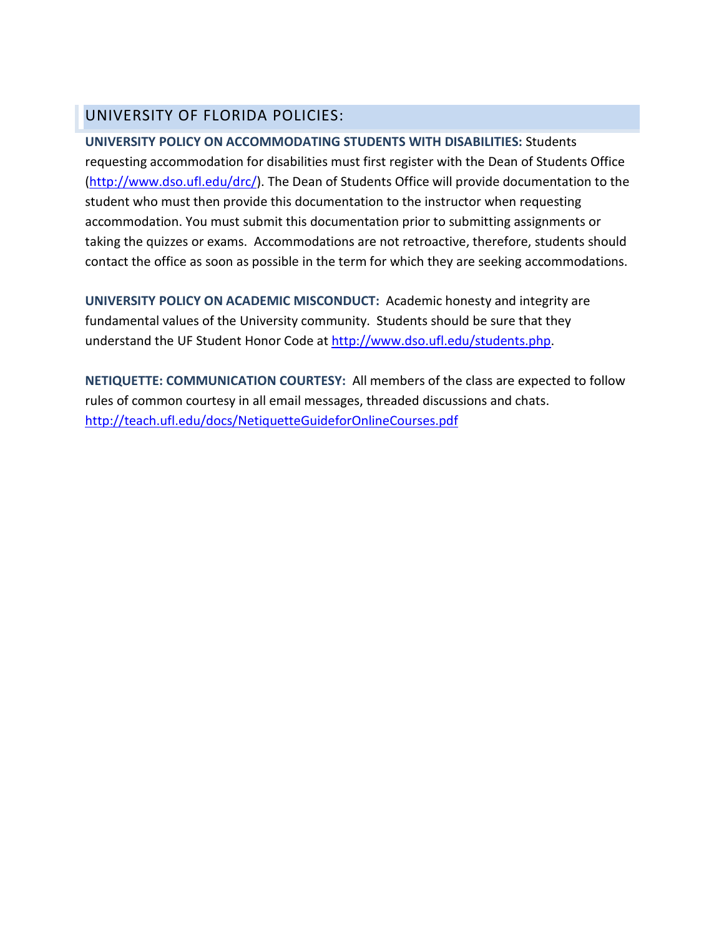# UNIVERSITY OF FLORIDA POLICIES:

**UNIVERSITY POLICY ON ACCOMMODATING STUDENTS WITH DISABILITIES:** Students requesting accommodation for disabilities must first register with the Dean of Students Office [\(http://www.dso.ufl.edu/drc/\)](http://www.dso.ufl.edu/drc/). The Dean of Students Office will provide documentation to the student who must then provide this documentation to the instructor when requesting accommodation. You must submit this documentation prior to submitting assignments or taking the quizzes or exams. Accommodations are not retroactive, therefore, students should contact the office as soon as possible in the term for which they are seeking accommodations.

**UNIVERSITY POLICY ON ACADEMIC MISCONDUCT:** Academic honesty and integrity are fundamental values of the University community. Students should be sure that they understand the UF Student Honor Code at [http://www.dso.ufl.edu/students.php.](http://www.dso.ufl.edu/students.php)

**NETIQUETTE: COMMUNICATION COURTESY:** All members of the class are expected to follow rules of common courtesy in all email messages, threaded discussions and chats. <http://teach.ufl.edu/docs/NetiquetteGuideforOnlineCourses.pdf>